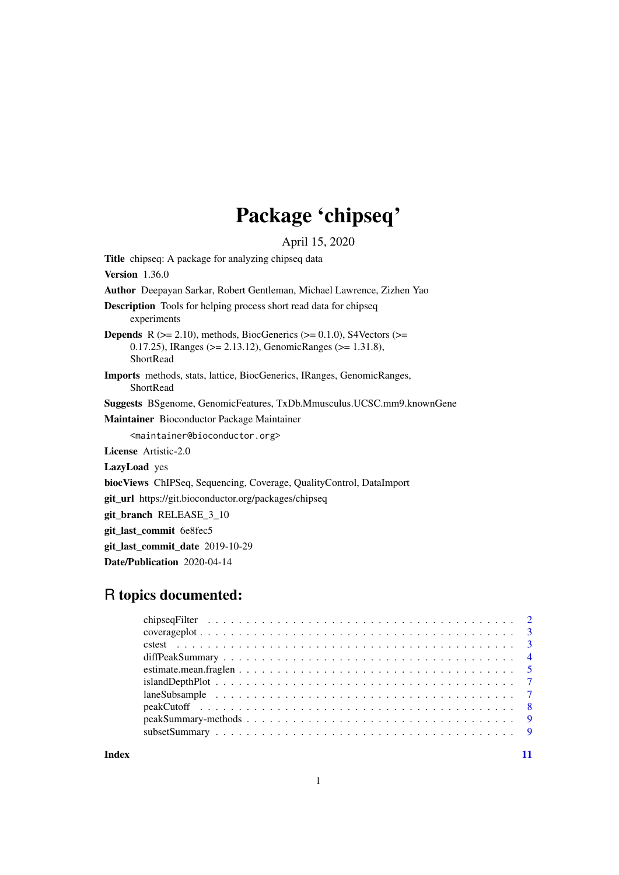# Package 'chipseq'

April 15, 2020

<span id="page-0-0"></span>Title chipseq: A package for analyzing chipseq data Version 1.36.0 Author Deepayan Sarkar, Robert Gentleman, Michael Lawrence, Zizhen Yao Description Tools for helping process short read data for chipseq experiments **Depends** R ( $>= 2.10$ ), methods, BiocGenerics ( $>= 0.1.0$ ), S4Vectors ( $>=$ 0.17.25), IRanges (>= 2.13.12), GenomicRanges (>= 1.31.8), ShortRead Imports methods, stats, lattice, BiocGenerics, IRanges, GenomicRanges, ShortRead Suggests BSgenome, GenomicFeatures, TxDb.Mmusculus.UCSC.mm9.knownGene Maintainer Bioconductor Package Maintainer <maintainer@bioconductor.org> License Artistic-2.0 LazyLoad yes biocViews ChIPSeq, Sequencing, Coverage, QualityControl, DataImport git\_url https://git.bioconductor.org/packages/chipseq git\_branch RELEASE\_3\_10 git last commit 6e8fec5 git\_last\_commit\_date 2019-10-29 Date/Publication 2020-04-14

# R topics documented:

| $islandDepthPlot \n\t\ldots \n\t\ldots \n\t\ldots \n\t\ldots \n\t\ldots \n\t\ldots \n\t\ldots \n\t\ldots \n\t\ldots \n\t\ldots \n\t\ldots \n\t\ldots \n\t\ldots \n\t\ldots \n\t\ldots \n\t\ldots \n\t\ldots \n\t\ldots \n\t\ldots \n\t\ldots \n\t\ldots \n\t\ldots \n\t\ldots \n\t\ldots \n\t\ldots \n\t\ldots \n\t\ldots \n\t\ldots \n\t\ldots \n\t\ldots \n\t\ldots \n\t\ldots \n\t\ldots \n\t\ldots \n\t\ldots \n\t\ldots$ |  |
|-------------------------------------------------------------------------------------------------------------------------------------------------------------------------------------------------------------------------------------------------------------------------------------------------------------------------------------------------------------------------------------------------------------------------------|--|
|                                                                                                                                                                                                                                                                                                                                                                                                                               |  |
|                                                                                                                                                                                                                                                                                                                                                                                                                               |  |
|                                                                                                                                                                                                                                                                                                                                                                                                                               |  |
|                                                                                                                                                                                                                                                                                                                                                                                                                               |  |
|                                                                                                                                                                                                                                                                                                                                                                                                                               |  |

**Index** [11](#page-10-0)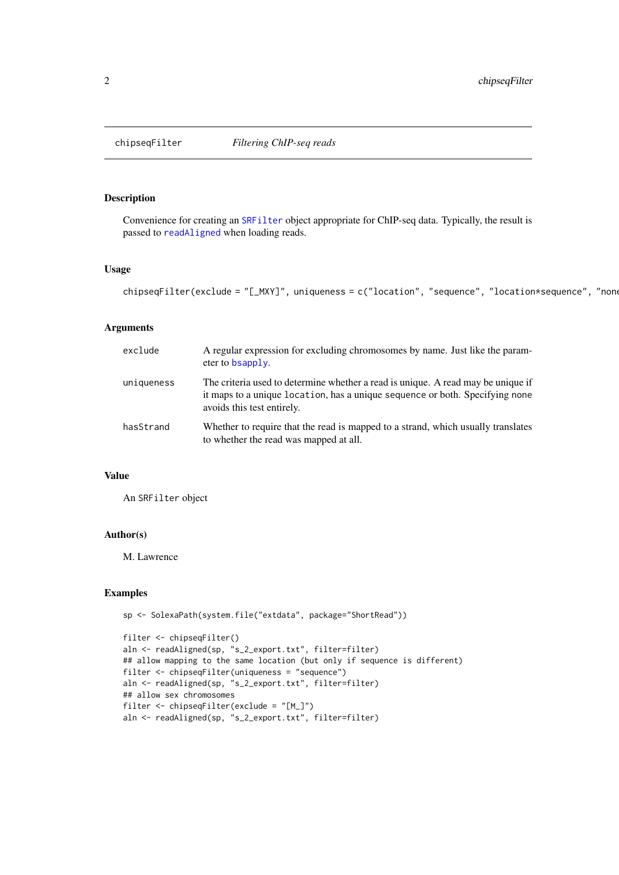<span id="page-1-0"></span>

# Description

Convenience for creating an [SRFilter](#page-0-0) object appropriate for ChIP-seq data. Typically, the result is passed to [readAligned](#page-0-0) when loading reads.

#### Usage

```
chipseqFilter(exclude = "[_MXY]", uniqueness = c("location", "sequence", "location*sequence", "none
```
# Arguments

| exclude    | A regular expression for excluding chromosomes by name. Just like the param-<br>eter to bsapply.                                                                                               |
|------------|------------------------------------------------------------------------------------------------------------------------------------------------------------------------------------------------|
| uniqueness | The criteria used to determine whether a read is unique. A read may be unique if<br>it maps to a unique location, has a unique sequence or both. Specifying none<br>avoids this test entirely. |
| hasStrand  | Whether to require that the read is mapped to a strand, which usually translates<br>to whether the read was mapped at all.                                                                     |

#### Value

An SRFilter object

# Author(s)

M. Lawrence

### Examples

```
sp <- SolexaPath(system.file("extdata", package="ShortRead"))
```

```
filter <- chipseqFilter()
aln <- readAligned(sp, "s_2_export.txt", filter=filter)
## allow mapping to the same location (but only if sequence is different)
filter <- chipseqFilter(uniqueness = "sequence")
aln <- readAligned(sp, "s_2_export.txt", filter=filter)
## allow sex chromosomes
filter <- chipseqFilter(exclude = "[M_]")
aln <- readAligned(sp, "s_2_export.txt", filter=filter)
```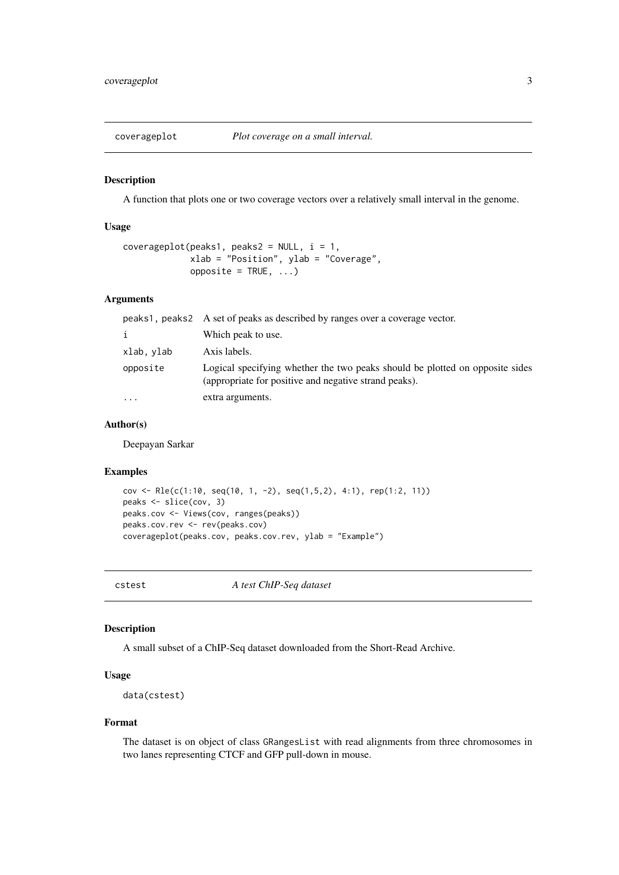<span id="page-2-0"></span>

#### Description

A function that plots one or two coverage vectors over a relatively small interval in the genome.

#### Usage

```
coverageplot(peaks1, peaks2 = NULL, i = 1,
             xlab = "Position", ylab = "Coverage",
             opposite = TRUE, ...)
```
#### Arguments

|            | peaks1, peaks2 A set of peaks as described by ranges over a coverage vector.                                                          |
|------------|---------------------------------------------------------------------------------------------------------------------------------------|
| i          | Which peak to use.                                                                                                                    |
| xlab, ylab | Axis labels.                                                                                                                          |
| opposite   | Logical specifying whether the two peaks should be plotted on opposite sides<br>(appropriate for positive and negative strand peaks). |
| $\ddotsc$  | extra arguments.                                                                                                                      |

# Author(s)

Deepayan Sarkar

#### Examples

```
cov <- Rle(c(1:10, seq(10, 1, -2), seq(1,5,2), 4:1), rep(1:2, 11))
peaks <- slice(cov, 3)
peaks.cov <- Views(cov, ranges(peaks))
peaks.cov.rev <- rev(peaks.cov)
coverageplot(peaks.cov, peaks.cov.rev, ylab = "Example")
```
cstest *A test ChIP-Seq dataset*

#### Description

A small subset of a ChIP-Seq dataset downloaded from the Short-Read Archive.

# Usage

data(cstest)

#### Format

The dataset is on object of class GRangesList with read alignments from three chromosomes in two lanes representing CTCF and GFP pull-down in mouse.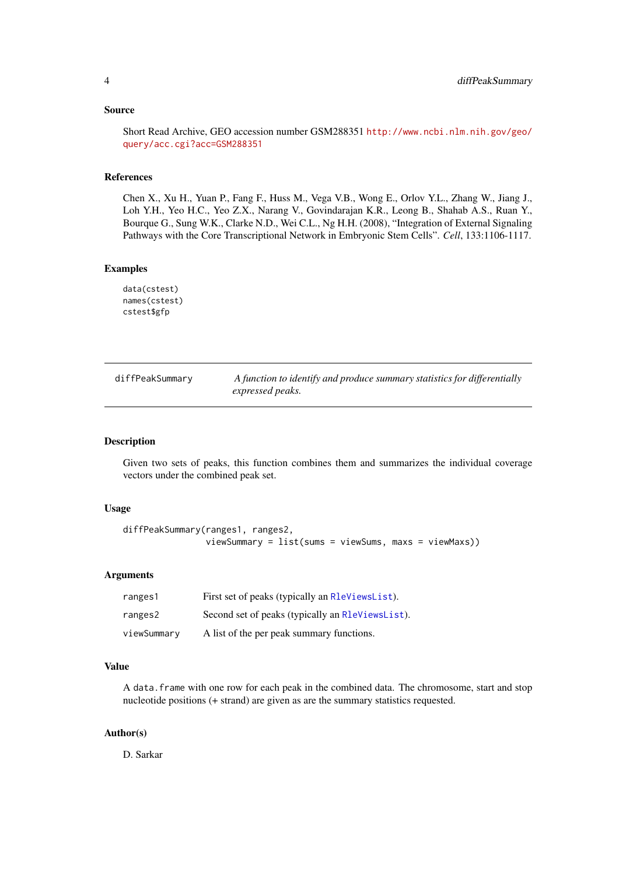#### <span id="page-3-0"></span>Source

Short Read Archive, GEO accession number GSM288351 [http://www.ncbi.nlm.nih.gov/geo/](http://www.ncbi.nlm.nih.gov/geo/query/acc.cgi?acc=GSM288351) [query/acc.cgi?acc=GSM288351](http://www.ncbi.nlm.nih.gov/geo/query/acc.cgi?acc=GSM288351)

# References

Chen X., Xu H., Yuan P., Fang F., Huss M., Vega V.B., Wong E., Orlov Y.L., Zhang W., Jiang J., Loh Y.H., Yeo H.C., Yeo Z.X., Narang V., Govindarajan K.R., Leong B., Shahab A.S., Ruan Y., Bourque G., Sung W.K., Clarke N.D., Wei C.L., Ng H.H. (2008), "Integration of External Signaling Pathways with the Core Transcriptional Network in Embryonic Stem Cells". *Cell*, 133:1106-1117.

### Examples

```
data(cstest)
names(cstest)
cstest$gfp
```

| diffPeakSummary | A function to identify and produce summary statistics for differentially<br>expressed peaks. |
|-----------------|----------------------------------------------------------------------------------------------|
|                 |                                                                                              |

# Description

Given two sets of peaks, this function combines them and summarizes the individual coverage vectors under the combined peak set.

#### Usage

```
diffPeakSummary(ranges1, ranges2,
                viewSummary = list(sums = viewSums, maxs = viewMaxs))
```
#### Arguments

| ranges1     | First set of peaks (typically an RleViewsList).  |
|-------------|--------------------------------------------------|
| ranges2     | Second set of peaks (typically an R1eViewsList). |
| viewSummary | A list of the per peak summary functions.        |

#### Value

A data.frame with one row for each peak in the combined data. The chromosome, start and stop nucleotide positions (+ strand) are given as are the summary statistics requested.

# Author(s)

D. Sarkar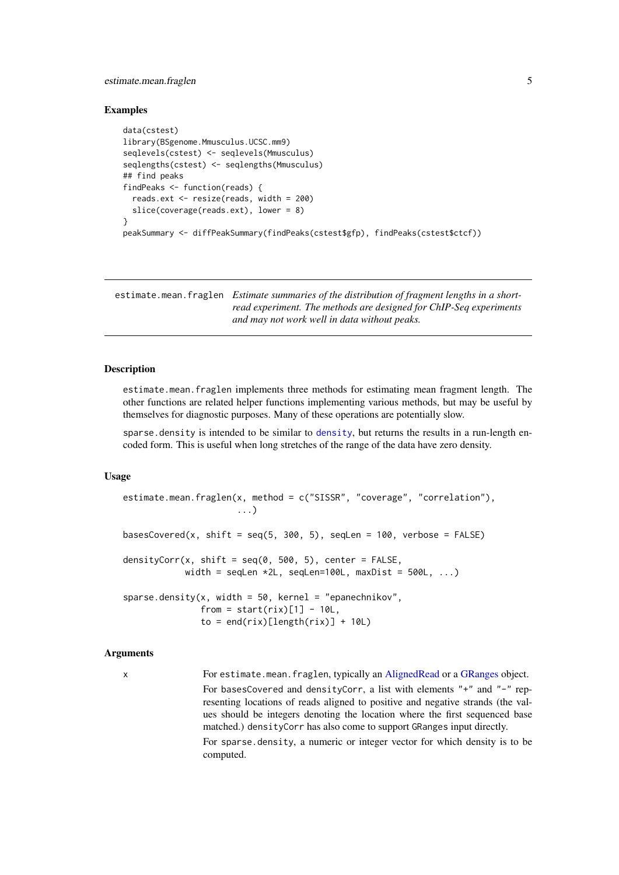#### <span id="page-4-0"></span>estimate.mean.fraglen 5

#### Examples

```
data(cstest)
library(BSgenome.Mmusculus.UCSC.mm9)
seqlevels(cstest) <- seqlevels(Mmusculus)
seqlengths(cstest) <- seqlengths(Mmusculus)
## find peaks
findPeaks <- function(reads) {
  reads.ext <- resize(reads, width = 200)
  slice(coverage(reads.ext), lower = 8)
}
peakSummary <- diffPeakSummary(findPeaks(cstest$gfp), findPeaks(cstest$ctcf))
```
estimate.mean.fraglen *Estimate summaries of the distribution of fragment lengths in a shortread experiment. The methods are designed for ChIP-Seq experiments and may not work well in data without peaks.*

# Description

estimate.mean.fraglen implements three methods for estimating mean fragment length. The other functions are related helper functions implementing various methods, but may be useful by themselves for diagnostic purposes. Many of these operations are potentially slow.

sparse. [density](#page-0-0) is intended to be similar to density, but returns the results in a run-length encoded form. This is useful when long stretches of the range of the data have zero density.

#### Usage

```
estimate.mean.fraglen(x, method = c("SISSR", "coverage", "correlation"),
                      ...)
basesCovered(x, shift = seq(5, 300, 5), seqLen = 100, verbose = FALSE)
densityCorr(x, shift = seq(0, 500, 5), center = FALSE,
            width = seqLen *2L, seqLen=100L, maxDist = 500L, ...)
sparse.density(x, width = 50, kernel = "epanechnikov",
               from = start(rix)[11 - 10L]to = end(rix)[length(rix)] + 10L)
```
#### Arguments

x For estimate.mean.fraglen, typically an [AlignedRead](#page-0-0) or a [GRanges](#page-0-0) object. For basesCovered and densityCorr, a list with elements "+" and "-" representing locations of reads aligned to positive and negative strands (the values should be integers denoting the location where the first sequenced base matched.) densityCorr has also come to support GRanges input directly.

For sparse.density, a numeric or integer vector for which density is to be computed.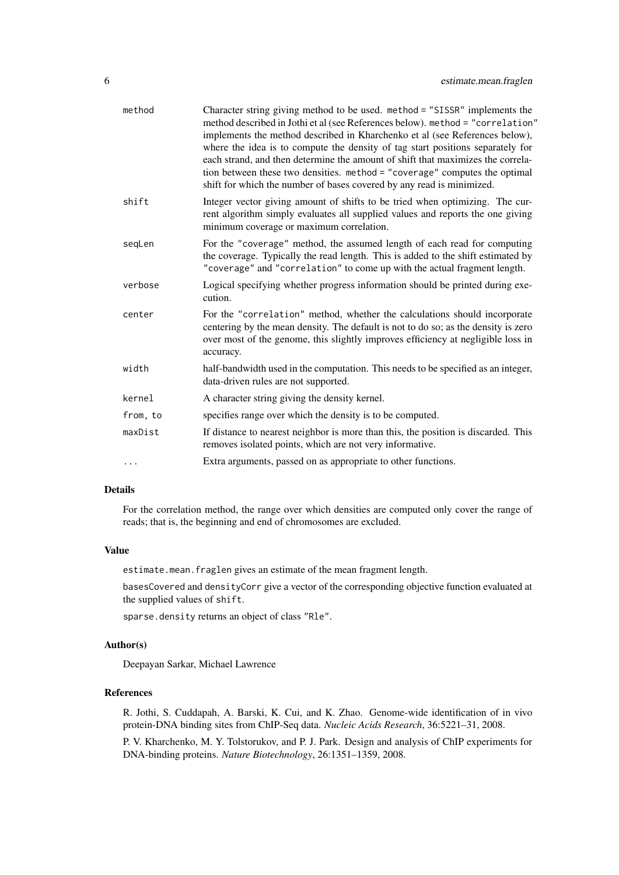| method   | Character string giving method to be used. method = "SISSR" implements the<br>method described in Jothi et al (see References below). method = "correlation"<br>implements the method described in Kharchenko et al (see References below),<br>where the idea is to compute the density of tag start positions separately for<br>each strand, and then determine the amount of shift that maximizes the correla-<br>tion between these two densities. method = "coverage" computes the optimal<br>shift for which the number of bases covered by any read is minimized. |
|----------|-------------------------------------------------------------------------------------------------------------------------------------------------------------------------------------------------------------------------------------------------------------------------------------------------------------------------------------------------------------------------------------------------------------------------------------------------------------------------------------------------------------------------------------------------------------------------|
| shift    | Integer vector giving amount of shifts to be tried when optimizing. The cur-<br>rent algorithm simply evaluates all supplied values and reports the one giving<br>minimum coverage or maximum correlation.                                                                                                                                                                                                                                                                                                                                                              |
| seqLen   | For the "coverage" method, the assumed length of each read for computing<br>the coverage. Typically the read length. This is added to the shift estimated by<br>"coverage" and "correlation" to come up with the actual fragment length.                                                                                                                                                                                                                                                                                                                                |
| verbose  | Logical specifying whether progress information should be printed during exe-<br>cution.                                                                                                                                                                                                                                                                                                                                                                                                                                                                                |
| center   | For the "correlation" method, whether the calculations should incorporate<br>centering by the mean density. The default is not to do so; as the density is zero<br>over most of the genome, this slightly improves efficiency at negligible loss in<br>accuracy.                                                                                                                                                                                                                                                                                                        |
| width    | half-bandwidth used in the computation. This needs to be specified as an integer,<br>data-driven rules are not supported.                                                                                                                                                                                                                                                                                                                                                                                                                                               |
| kernel   | A character string giving the density kernel.                                                                                                                                                                                                                                                                                                                                                                                                                                                                                                                           |
| from, to | specifies range over which the density is to be computed.                                                                                                                                                                                                                                                                                                                                                                                                                                                                                                               |
| maxDist  | If distance to nearest neighbor is more than this, the position is discarded. This<br>removes isolated points, which are not very informative.                                                                                                                                                                                                                                                                                                                                                                                                                          |
|          | Extra arguments, passed on as appropriate to other functions.                                                                                                                                                                                                                                                                                                                                                                                                                                                                                                           |

# Details

For the correlation method, the range over which densities are computed only cover the range of reads; that is, the beginning and end of chromosomes are excluded.

#### Value

estimate.mean.fraglen gives an estimate of the mean fragment length.

basesCovered and densityCorr give a vector of the corresponding objective function evaluated at the supplied values of shift.

sparse.density returns an object of class "Rle".

# Author(s)

Deepayan Sarkar, Michael Lawrence

#### References

R. Jothi, S. Cuddapah, A. Barski, K. Cui, and K. Zhao. Genome-wide identification of in vivo protein-DNA binding sites from ChIP-Seq data. *Nucleic Acids Research*, 36:5221–31, 2008.

P. V. Kharchenko, M. Y. Tolstorukov, and P. J. Park. Design and analysis of ChIP experiments for DNA-binding proteins. *Nature Biotechnology*, 26:1351–1359, 2008.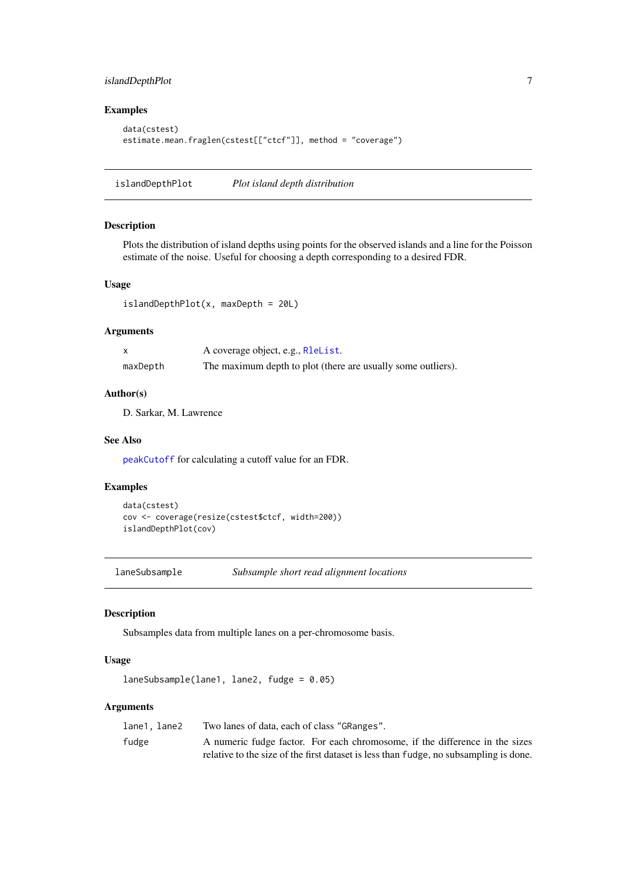# <span id="page-6-0"></span>islandDepthPlot 7

# Examples

```
data(cstest)
estimate.mean.fraglen(cstest[["ctcf"]], method = "coverage")
```
<span id="page-6-1"></span>islandDepthPlot *Plot island depth distribution*

#### Description

Plots the distribution of island depths using points for the observed islands and a line for the Poisson estimate of the noise. Useful for choosing a depth corresponding to a desired FDR.

#### Usage

 $islandDepthPlot(x, maxDepth = 20L)$ 

#### Arguments

|          | A coverage object, e.g., RleList.                            |
|----------|--------------------------------------------------------------|
| maxDepth | The maximum depth to plot (there are usually some outliers). |

#### Author(s)

D. Sarkar, M. Lawrence

#### See Also

[peakCutoff](#page-7-1) for calculating a cutoff value for an FDR.

#### Examples

```
data(cstest)
cov <- coverage(resize(cstest$ctcf, width=200))
islandDepthPlot(cov)
```
laneSubsample *Subsample short read alignment locations*

#### Description

Subsamples data from multiple lanes on a per-chromosome basis.

# Usage

```
laneSubsample(lane1, lane2, fudge = 0.05)
```
#### Arguments

| lane1.lane2 | Two lanes of data, each of class "GRanges".                                           |
|-------------|---------------------------------------------------------------------------------------|
| fudge       | A numeric fudge factor. For each chromosome, if the difference in the sizes           |
|             | relative to the size of the first dataset is less than fudge, no subsampling is done. |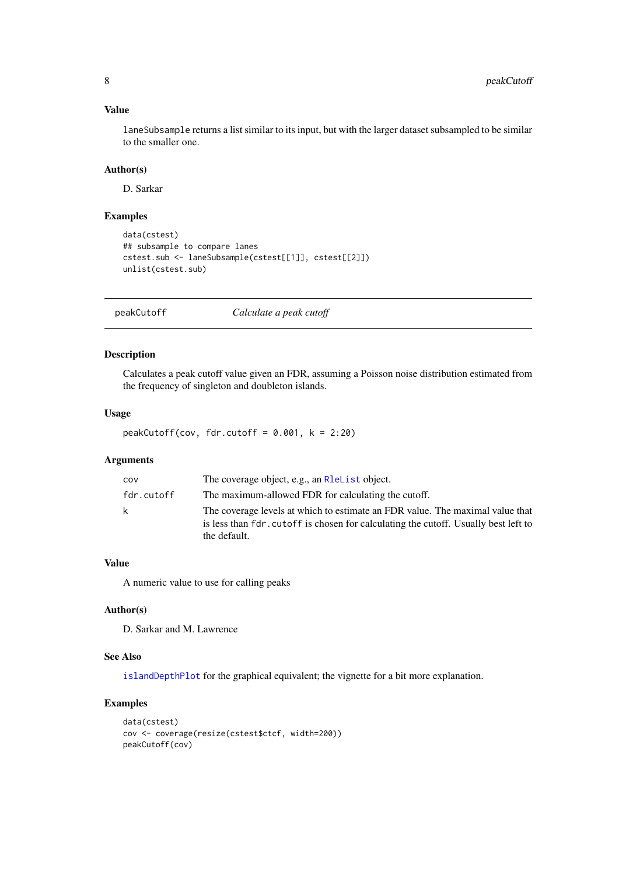#### <span id="page-7-0"></span>Value

laneSubsample returns a list similar to its input, but with the larger dataset subsampled to be similar to the smaller one.

# Author(s)

D. Sarkar

# Examples

```
data(cstest)
## subsample to compare lanes
cstest.sub <- laneSubsample(cstest[[1]], cstest[[2]])
unlist(cstest.sub)
```
<span id="page-7-1"></span>peakCutoff *Calculate a peak cutoff*

# Description

Calculates a peak cutoff value given an FDR, assuming a Poisson noise distribution estimated from the frequency of singleton and doubleton islands.

#### Usage

peakCutoff(cov, fdr.cutoff =  $0.001$ , k = 2:20)

# Arguments

| COV        | The coverage object, e.g., an R1eList object.                                                                                                                                        |
|------------|--------------------------------------------------------------------------------------------------------------------------------------------------------------------------------------|
| fdr.cutoff | The maximum-allowed FDR for calculating the cutoff.                                                                                                                                  |
| k          | The coverage levels at which to estimate an FDR value. The maximal value that<br>is less than fdr. cutoff is chosen for calculating the cutoff. Usually best left to<br>the default. |

# Value

A numeric value to use for calling peaks

# Author(s)

D. Sarkar and M. Lawrence

#### See Also

[islandDepthPlot](#page-6-1) for the graphical equivalent; the vignette for a bit more explanation.

# Examples

```
data(cstest)
cov <- coverage(resize(cstest$ctcf, width=200))
peakCutoff(cov)
```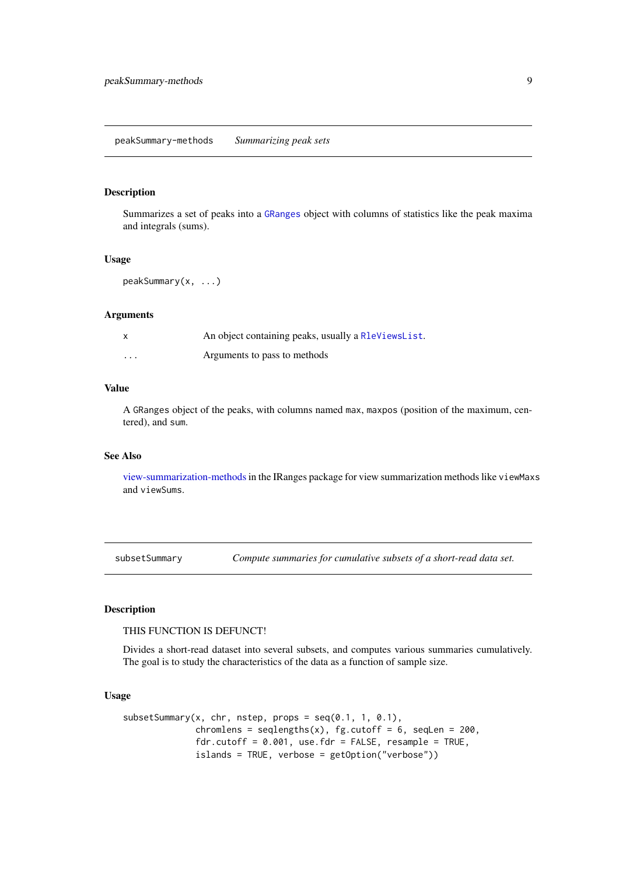<span id="page-8-0"></span>peakSummary-methods *Summarizing peak sets*

#### Description

Summarizes a set of peaks into a [GRanges](#page-0-0) object with columns of statistics like the peak maxima and integrals (sums).

# Usage

```
peakSummary(x, ...)
```
#### Arguments

|         | An object containing peaks, usually a RleViewsList. |
|---------|-----------------------------------------------------|
| $\cdot$ | Arguments to pass to methods                        |

#### Value

A GRanges object of the peaks, with columns named max, maxpos (position of the maximum, centered), and sum.

#### See Also

[view-summarization-methods](#page-0-0)in the IRanges package for view summarization methods like viewMaxs and viewSums.

subsetSummary *Compute summaries for cumulative subsets of a short-read data set.*

#### Description

THIS FUNCTION IS DEFUNCT!

Divides a short-read dataset into several subsets, and computes various summaries cumulatively. The goal is to study the characteristics of the data as a function of sample size.

#### Usage

```
subsetSummary(x, chr, nstep, props = seq(0.1, 1, 0.1),chromlens = seqlengths(x), fg.cutoff = 6, seqLen = 200,
             fdr.cutoff = 0.001, use.fdr = FALSE, resample = TRUE,
              islands = TRUE, verbose = getOption("verbose"))
```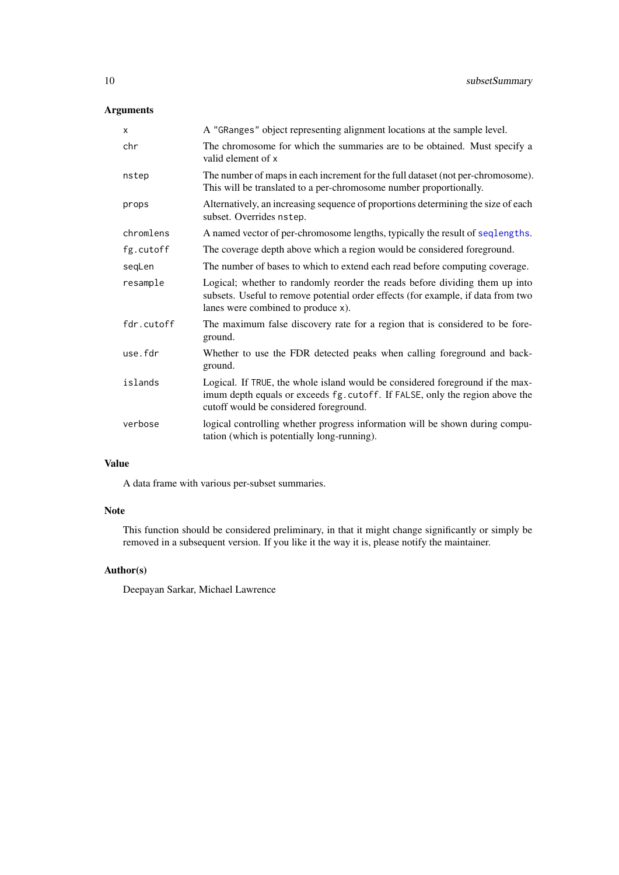# <span id="page-9-0"></span>Arguments

| X          | A "GRanges" object representing alignment locations at the sample level.                                                                                                                                |
|------------|---------------------------------------------------------------------------------------------------------------------------------------------------------------------------------------------------------|
| chr        | The chromosome for which the summaries are to be obtained. Must specify a<br>valid element of x                                                                                                         |
| nstep      | The number of maps in each increment for the full dataset (not per-chromosome).<br>This will be translated to a per-chromosome number proportionally.                                                   |
| props      | Alternatively, an increasing sequence of proportions determining the size of each<br>subset. Overrides nstep.                                                                                           |
| chromlens  | A named vector of per-chromosome lengths, typically the result of seqlengths.                                                                                                                           |
| fg.cutoff  | The coverage depth above which a region would be considered foreground.                                                                                                                                 |
| seqLen     | The number of bases to which to extend each read before computing coverage.                                                                                                                             |
| resample   | Logical; whether to randomly reorder the reads before dividing them up into<br>subsets. Useful to remove potential order effects (for example, if data from two<br>lanes were combined to produce x).   |
| fdr.cutoff | The maximum false discovery rate for a region that is considered to be fore-<br>ground.                                                                                                                 |
| use.fdr    | Whether to use the FDR detected peaks when calling foreground and back-<br>ground.                                                                                                                      |
| islands    | Logical. If TRUE, the whole island would be considered foreground if the max-<br>imum depth equals or exceeds fg. cutoff. If FALSE, only the region above the<br>cutoff would be considered foreground. |
| verbose    | logical controlling whether progress information will be shown during compu-<br>tation (which is potentially long-running).                                                                             |
|            |                                                                                                                                                                                                         |

# Value

A data frame with various per-subset summaries.

# Note

This function should be considered preliminary, in that it might change significantly or simply be removed in a subsequent version. If you like it the way it is, please notify the maintainer.

# Author(s)

Deepayan Sarkar, Michael Lawrence